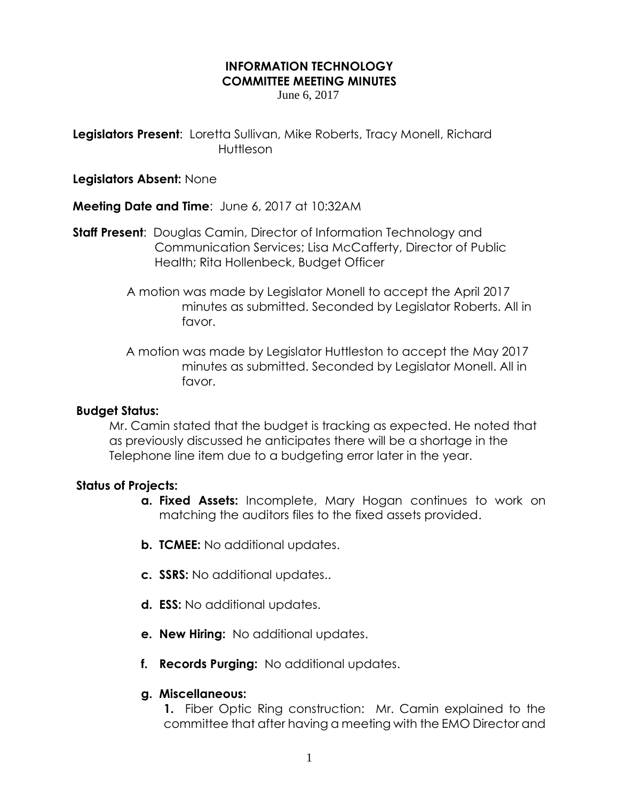## **INFORMATION TECHNOLOGY COMMITTEE MEETING MINUTES**

June 6, 2017

**Legislators Present**: Loretta Sullivan, Mike Roberts, Tracy Monell, Richard **Huttleson** 

**Legislators Absent:** None

**Meeting Date and Time**: June 6, 2017 at 10:32AM

**Staff Present**: Douglas Camin, Director of Information Technology and Communication Services; Lisa McCafferty, Director of Public Health; Rita Hollenbeck, Budget Officer

- A motion was made by Legislator Monell to accept the April 2017 minutes as submitted. Seconded by Legislator Roberts. All in favor.
- A motion was made by Legislator Huttleston to accept the May 2017 minutes as submitted. Seconded by Legislator Monell. All in favor.

## **Budget Status:**

Mr. Camin stated that the budget is tracking as expected. He noted that as previously discussed he anticipates there will be a shortage in the Telephone line item due to a budgeting error later in the year.

## **Status of Projects:**

- **a. Fixed Assets:** Incomplete, Mary Hogan continues to work on matching the auditors files to the fixed assets provided.
- **b. TCMEE:** No additional updates.
- **c. SSRS:** No additional updates..
- **d. ESS:** No additional updates.
- **e. New Hiring:** No additional updates.
- **f. Records Purging:** No additional updates.

## **g. Miscellaneous:**

**1.** Fiber Optic Ring construction: Mr. Camin explained to the committee that after having a meeting with the EMO Director and